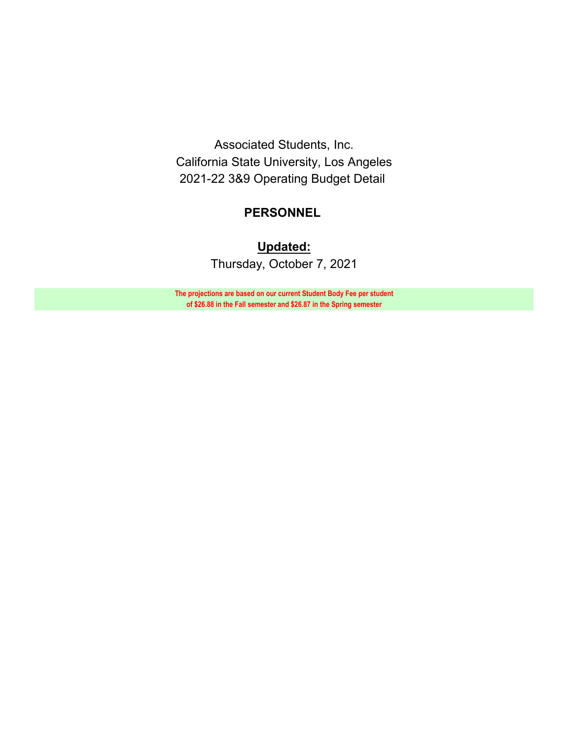Associated Students, Inc. California State University, Los Angeles 2021-22 3&9 Operating Budget Detail

# **PERSONNEL**

**Updated:** Thursday, October 7, 2021

**The projections are based on our current Student Body Fee per student of \$26.88 in the Fall semester and \$26.87 in the Spring semester**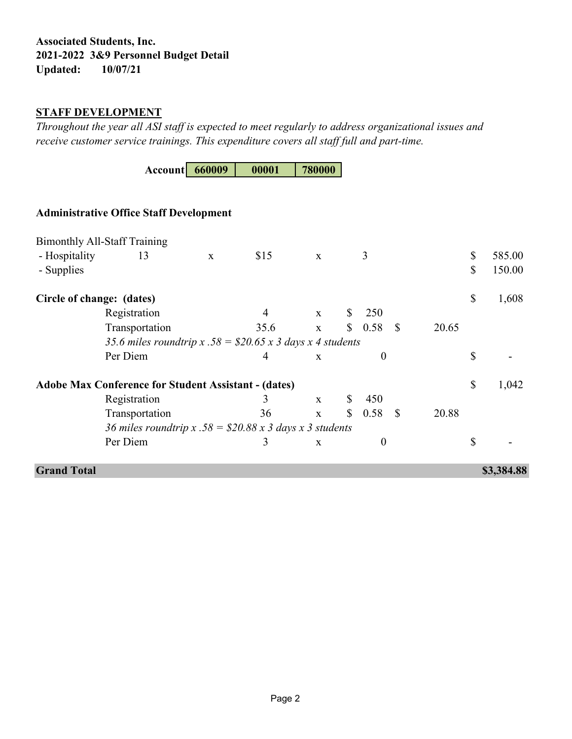# **Associated Students, Inc. 2021-2022 3&9 Personnel Budget Detail Updated: 10/07/21**

### **STAFF DEVELOPMENT**

*Throughout the year all ASI staff is expected to meet regularly to address organizational issues and receive customer service trainings. This expenditure covers all staff full and part-time.*

**Account 660009 00001 780000**

# **Administrative Office Staff Development**

|                           | <b>Bimonthly All-Staff Training</b>                            |             |      |              |                |              |       |              |            |
|---------------------------|----------------------------------------------------------------|-------------|------|--------------|----------------|--------------|-------|--------------|------------|
| - Hospitality             | 13                                                             | $\mathbf X$ | \$15 | $\mathbf X$  | 3              |              |       | $\mathbb{S}$ | 585.00     |
| - Supplies                |                                                                |             |      |              |                |              |       | \$           | 150.00     |
| Circle of change: (dates) |                                                                |             |      |              |                |              |       | \$           | 1,608      |
|                           | Registration                                                   |             | 4    | $\mathbf{x}$ | \$<br>250      |              |       |              |            |
|                           | Transportation                                                 |             | 35.6 | $\mathbf X$  | \$<br>0.58     | - \$         | 20.65 |              |            |
|                           | 35.6 miles roundtrip x .58 = $$20.65$ x 3 days x 4 students    |             |      |              |                |              |       |              |            |
|                           | Per Diem                                                       |             | 4    | $\mathbf{x}$ | $\overline{0}$ |              |       | \$           |            |
|                           | <b>Adobe Max Conference for Student Assistant - (dates)</b>    |             |      |              |                |              |       | \$           | 1,042      |
|                           | Registration                                                   |             | 3    | $\mathbf{X}$ | \$<br>450      |              |       |              |            |
|                           | Transportation                                                 |             | 36   | $\mathbf{x}$ | \$<br>0.58     | <sup>S</sup> | 20.88 |              |            |
|                           | 36 miles roundtrip x $.58 = $20.88 \times 3$ days x 3 students |             |      |              |                |              |       |              |            |
|                           | Per Diem                                                       |             | 3    | X            | $\overline{0}$ |              |       | \$           |            |
| <b>Grand Total</b>        |                                                                |             |      |              |                |              |       |              | \$3,384.88 |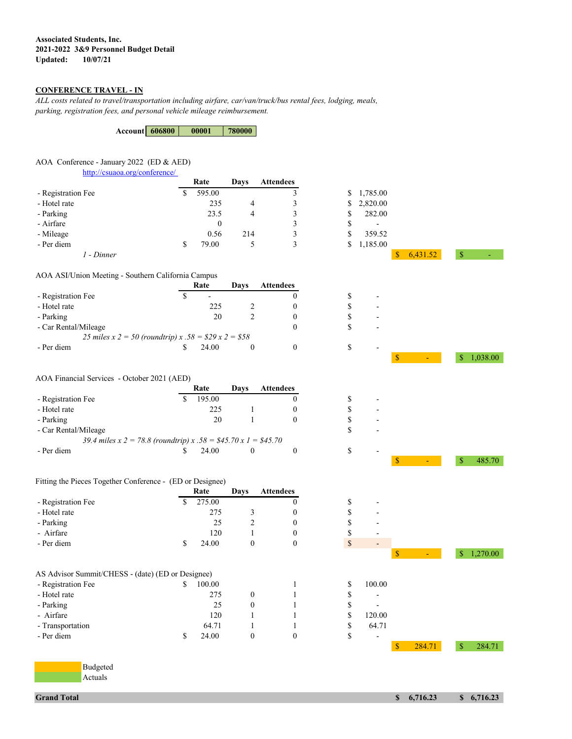### **Associated Students, Inc. 2021-2022 3&9 Personnel Budget Detail Updated:**

### **CONFERENCE TRAVEL - IN**

*ALL costs related to travel/transportation including airfare, car/van/truck/bus rental fees, lodging, meals, parking, registration fees, and personal vehicle mileage reimbursement.* 

| <b>Account 606800</b> | 00001 | 780000 |
|-----------------------|-------|--------|
|                       |       |        |

### AOA Conference - January 2022 (ED & AED)

<http://csuaoa.org/conference/>

|                    |   | Rate         | Davs | <b>Attendees</b> |    |                          |          |  |
|--------------------|---|--------------|------|------------------|----|--------------------------|----------|--|
| - Registration Fee | Φ | 595.00       |      |                  |    | \$1,785.00               |          |  |
| - Hotel rate       |   | 235          | 4    |                  |    | \$2,820.00               |          |  |
| - Parking          |   | 23.5         | 4    |                  |    | 282.00                   |          |  |
| - Airfare          |   | $\mathbf{0}$ |      |                  | S  | $\overline{\phantom{a}}$ |          |  |
| - Mileage          |   | 0.56         | 214  |                  | S  | 359.52                   |          |  |
| - Per diem         |   | 79.00        |      |                  | S. | 1,185.00                 |          |  |
| 1 - Dinner         |   |              |      |                  |    |                          | 6,431.52 |  |

#### AOA ASI/Union Meeting - Southern California Campus

|                                                            |   | Rate  | Davs | <b>Attendees</b> |   |                          |
|------------------------------------------------------------|---|-------|------|------------------|---|--------------------------|
| - Registration Fee                                         | S | -     |      |                  | S | -                        |
| - Hotel rate                                               |   | 225   |      |                  | S |                          |
| - Parking                                                  |   | 20    |      |                  | S | -                        |
| - Car Rental/Mileage                                       |   |       |      |                  | S | $\overline{\phantom{0}}$ |
| 25 miles x 2 = 50 (roundtrip) x $.58 = $29 \times 2 = $58$ |   |       |      |                  |   |                          |
| - Per diem                                                 |   | 24.00 |      |                  |   |                          |

#### AOA Financial Services - October 2021 (AED)

|                                                                 | Rate   | Davs | <b>Attendees</b> |   |   |
|-----------------------------------------------------------------|--------|------|------------------|---|---|
| - Registration Fee                                              | 195.00 |      |                  |   |   |
| - Hotel rate                                                    | 225    |      |                  | S | - |
| - Parking                                                       | 20     |      |                  | S | ٠ |
| - Car Rental/Mileage                                            |        |      |                  | S |   |
| 39.4 miles x 2 = 78.8 (roundtrip) x .58 = \$45.70 x 1 = \$45.70 |        |      |                  |   |   |
| - Per diem                                                      | 24.00  |      |                  |   |   |

### Fitting the Pieces Together Conference - (ED or Designee)

|                    | Rate        | Davs | <b>Attendees</b> |    |   |
|--------------------|-------------|------|------------------|----|---|
| - Registration Fee | 275.00      |      |                  | S  | - |
| - Hotel rate       | 275         |      |                  | S  | - |
| - Parking          | 25          |      |                  | S  | - |
| - Airfare          | 120         |      |                  |    | - |
| - Per diem         | \$<br>24.00 |      |                  | \$ | - |

- Per diem  $$ 24.00 \t 0 \t 0 \t $ 3 \t -$ 

| AS Advisor Summit/CHESS - (date) (ED or Designee) |        |  |        |
|---------------------------------------------------|--------|--|--------|
| - Registration Fee                                | 100.00 |  | 100.00 |
| - Hotel rate                                      | 275    |  |        |
| - Parking                                         | 25     |  |        |
| - Airfare                                         | 120    |  | 120.00 |
| - Transportation                                  | 64.71  |  | 64.71  |





 $\text{\AA}$   $\text{\AA}$   $\text{\AA}$   $\text{\AA}$   $\text{\AA}$   $\text{\AA}$   $\text{\AA}$   $\text{\AA}$   $\text{\AA}$   $\text{\AA}$   $\text{\AA}$   $\text{\AA}$   $\text{\AA}$   $\text{\AA}$   $\text{\AA}$   $\text{\AA}$   $\text{\AA}$   $\text{\AA}$   $\text{\AA}$   $\text{\AA}$   $\text{\AA}$   $\text{\AA}$   $\text{\AA}$   $\text{\AA}$   $\text{\AA}$   $\text{\AA}$   $\text{\AA}$   $\text{\AA$ 

\$ 284.71 \$ 284.71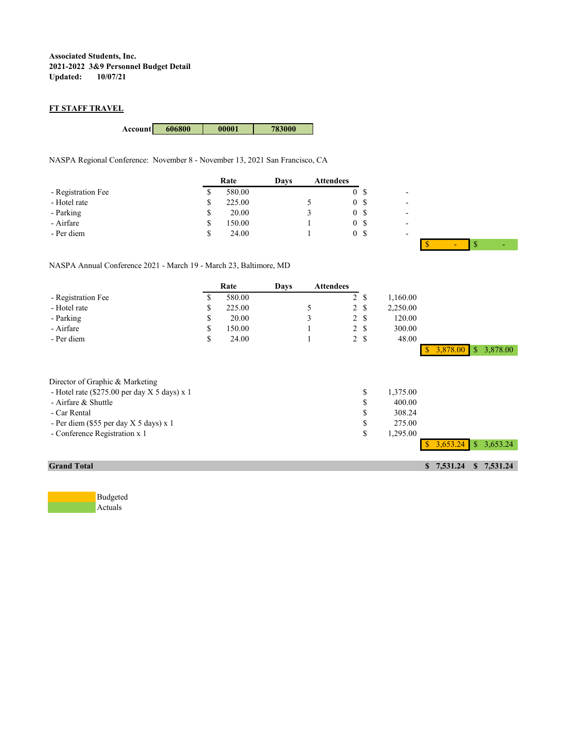**Associated Students, Inc. 2021-2022 3&9 Personnel Budget Detail Updated:** 

### **FT STAFF TRAVEL**

**Account 606800 00001 783000**

NASPA Regional Conference: November 8 - November 13, 2021 San Francisco, CA

|                    |   | Rate   | Davs | <b>Attendees</b> |    |  |
|--------------------|---|--------|------|------------------|----|--|
| - Registration Fee | S | 580.00 |      |                  | 0S |  |
| - Hotel rate       |   | 225.00 |      |                  | 0S |  |
| - Parking          |   | 20.00  |      |                  | 0S |  |
| - Airfare          |   | 150.00 |      |                  | 0S |  |
| - Per diem         |   | 24.00  |      |                  | 0S |  |

\$ - \$ -

NASPA Annual Conference 2021 - March 19 - March 23, Baltimore, MD

|                                                                                                                                                                                                     |    | Rate   | Days | <b>Attendees</b> |                |                            |                                                    |              |            |            |
|-----------------------------------------------------------------------------------------------------------------------------------------------------------------------------------------------------|----|--------|------|------------------|----------------|----------------------------|----------------------------------------------------|--------------|------------|------------|
| - Registration Fee                                                                                                                                                                                  | S  | 580.00 |      |                  | $\overline{2}$ | <sup>\$</sup>              | 1,160.00                                           |              |            |            |
| - Hotel rate                                                                                                                                                                                        | \$ | 225.00 |      | 5                |                | 2S                         | 2,250.00                                           |              |            |            |
| - Parking                                                                                                                                                                                           | S  | 20.00  |      | 3                |                | 2S                         | 120.00                                             |              |            |            |
| - Airfare                                                                                                                                                                                           | \$ | 150.00 |      |                  |                | 2S                         | 300.00                                             |              |            |            |
| - Per diem                                                                                                                                                                                          | S  | 24.00  |      |                  |                | 2S                         | 48.00                                              |              |            |            |
|                                                                                                                                                                                                     |    |        |      |                  |                |                            |                                                    |              | \$3,878.00 | \$3,878.00 |
| Director of Graphic & Marketing<br>- Hotel rate $(\$275.00$ per day X 5 days) x 1<br>- Airfare & Shuttle<br>- Car Rental<br>- Per diem (\$55 per day X 5 days) x 1<br>- Conference Registration x 1 |    |        |      |                  |                | \$<br>\$<br>\$<br>\$<br>\$ | 1,375.00<br>400.00<br>308.24<br>275.00<br>1,295.00 |              | 3,653.24   | \$3,653.24 |
|                                                                                                                                                                                                     |    |        |      |                  |                |                            |                                                    |              |            |            |
| <b>Grand Total</b>                                                                                                                                                                                  |    |        |      |                  |                |                            |                                                    | $\mathbf{s}$ | 7,531.24   | \$7,531.24 |

Budgeted Actuals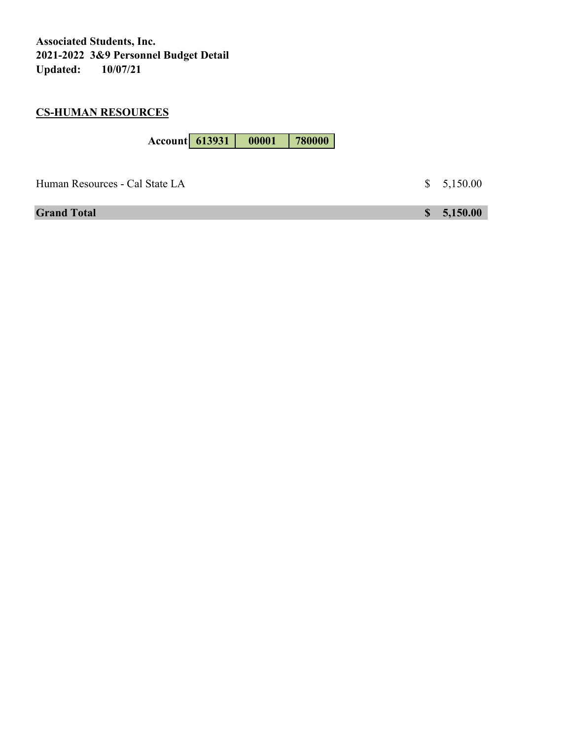**Associated Students, Inc. 2021-2022 3&9 Personnel Budget Detail** Updated:

# **CS-HUMAN RESOURCES**

| <b>Account</b> 613931 | 00001 | 780000 |  |
|-----------------------|-------|--------|--|
|-----------------------|-------|--------|--|

| Human Resources - Cal State LA | \$5,150.00 |
|--------------------------------|------------|
| <b>Grand Total</b>             | \$5,150.00 |